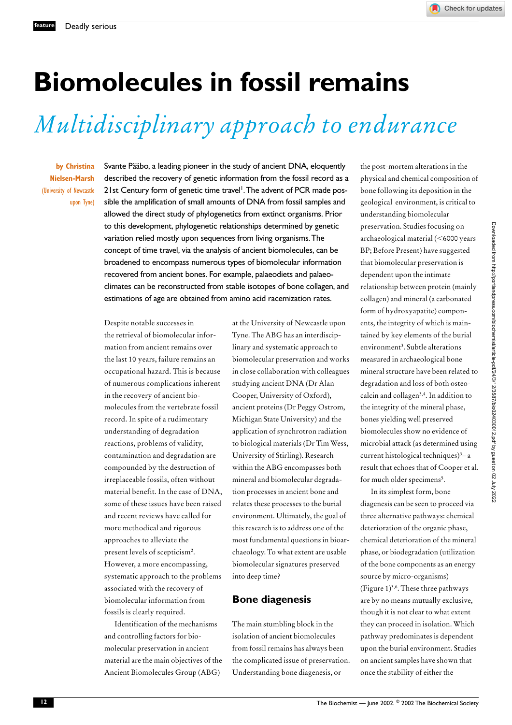## **Biomolecules in fossil remains**

# *Multidisciplinary approach to endurance*

**by Christina Nielsen-Marsh** (University of Newcastle upon Tyne) Svante Pääbo, a leading pioneer in the study of ancient DNA, eloquently described the recovery of genetic information from the fossil record as a 21st Century form of genetic time travel<sup>1</sup>. The advent of PCR made possible the amplification of small amounts of DNA from fossil samples and allowed the direct study of phylogenetics from extinct organisms. Prior to this development, phylogenetic relationships determined by genetic variation relied mostly upon sequences from living organisms.The concept of time travel, via the analysis of ancient biomolecules, can be broadened to encompass numerous types of biomolecular information recovered from ancient bones. For example, palaeodiets and palaeoclimates can be reconstructed from stable isotopes of bone collagen, and estimations of age are obtained from amino acid racemization rates.

Despite notable successes in the retrieval of biomolecular information from ancient remains over the last 10 years, failure remains an occupational hazard. This is because of numerous complications inherent in the recovery of ancient biomolecules from the vertebrate fossil record. In spite of a rudimentary understanding of degradation reactions, problems of validity, contamination and degradation are compounded by the destruction of irreplaceable fossils, often without material benefit. In the case of DNA, some of these issues have been raised and recent reviews have called for more methodical and rigorous approaches to alleviate the present levels of scepticism2. However, a more encompassing, systematic approach to the problems associated with the recovery of biomolecular information from fossils is clearly required.

Identification of the mechanisms and controlling factors for biomolecular preservation in ancient material are the main objectives of the Ancient Biomolecules Group (ABG)

at the University of Newcastle upon Tyne. The ABG has an interdisciplinary and systematic approach to biomolecular preservation and works in close collaboration with colleagues studying ancient DNA (Dr Alan Cooper, University of Oxford), ancient proteins (Dr Peggy Ostrom, Michigan State University) and the application of synchrotron radiation to biological materials (Dr Tim Wess, University of Stirling). Research within the ABG encompasses both mineral and biomolecular degradation processes in ancient bone and relates these processes to the burial environment. Ultimately, the goal of this research is to address one of the most fundamental questions in bioarchaeology. To what extent are usable biomolecular signatures preserved into deep time?

#### **Bone diagenesis**

The main stumbling block in the isolation of ancient biomolecules from fossil remains has always been the complicated issue of preservation. Understanding bone diagenesis, or

the post-mortem alterations in the physical and chemical composition of bone following its deposition in the geological environment, is critical to understanding biomolecular preservation. Studies focusing on archaeological material (<6000 years BP; Before Present) have suggested that biomolecular preservation is dependent upon the intimate relationship between protein (mainly collagen) and mineral (a carbonated form of hydroxyapatite) components, the integrity of which is maintained by key elements of the burial environment<sup>3</sup>. Subtle alterations measured in archaeological bone mineral structure have been related to degradation and loss of both osteocalcin and collagen3,4. In addition to the integrity of the mineral phase, bones yielding well preserved biomolecules show no evidence of microbial attack (as determined using current histological techniques)<sup>3</sup>-a result that echoes that of Cooper et al. for much older specimens<sup>5</sup>.

In its simplest form, bone diagenesis can be seen to proceed via three alternative pathways: chemical deterioration of the organic phase, chemical deterioration of the mineral phase, or biodegradation (utilization of the bone components as an energy source by micro-organisms) (Figure 1)3,6. These three pathways are by no means mutually exclusive, though it is not clear to what extent they can proceed in isolation. Which pathway predominates is dependent upon the burial environment. Studies on ancient samples have shown that once the stability of either the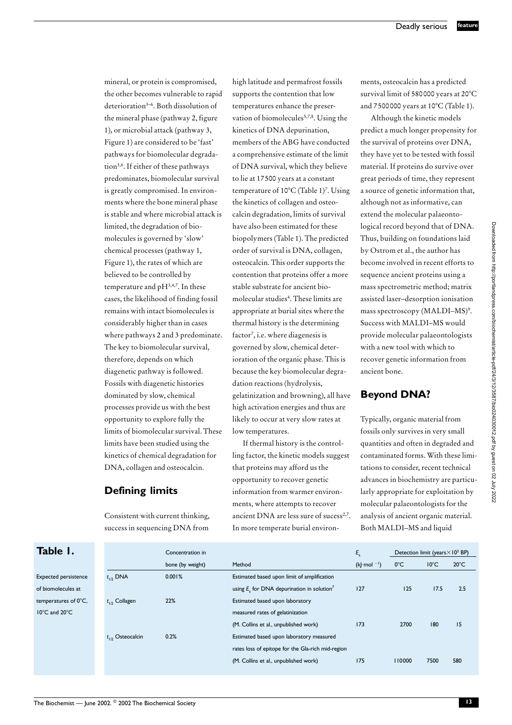mineral, or protein is compromised, the other becomes vulnerable to rapid deterioration3–6. Both dissolution of the mineral phase (pathway 2, figure 1), or microbial attack (pathway 3, Figure 1) are considered to be 'fast' pathways for biomolecular degradation3,6. If either of these pathways predominates, biomolecular survival is greatly compromised. In environments where the bone mineral phase is stable and where microbial attack is limited, the degradation of biomolecules is governed by 'slow' chemical processes (pathway 1, Figure 1), the rates of which are believed to be controlled by temperature and pH3,4,7. In these cases, the likelihood of finding fossil remains with intact biomolecules is considerably higher than in cases where pathways 2 and 3 predominate. The key to biomolecular survival, therefore, depends on which diagenetic pathway is followed. Fossils with diagenetic histories dominated by slow, chemical processes provide us with the best opportunity to explore fully the limits of biomolecular survival. These limits have been studied using the kinetics of chemical degradation for DNA, collagen and osteocalcin.

### **Defining limits**

Consistent with current thinking, success in sequencing DNA from

high latitude and permafrost fossils supports the contention that low temperatures enhance the preservation of biomolecules<sup>5,7,8</sup>. Using the kinetics of DNA depurination, members of the ABG have conducted a comprehensive estimate of the limit of DNA survival, which they believe to lie at 17500 years at a constant temperature of  $10^{\circ}$ C (Table 1)<sup>7</sup>. Using the kinetics of collagen and osteocalcin degradation, limits of survival have also been estimated for these biopolymers (Table 1). The predicted order of survival is DNA, collagen, osteocalcin. This order supports the contention that proteins offer a more stable substrate for ancient biomolecular studies<sup>4</sup>. These limits are appropriate at burial sites where the thermal history is the determining factor<sup>7</sup>, i.e. where diagenesis is governed by slow, chemical deterioration of the organic phase. This is because the key biomolecular degradation reactions (hydrolysis, gelatinization and browning), all have high activation energies and thus are likely to occur at very slow rates at low temperatures.

If thermal history is the controlling factor, the kinetic models suggest that proteins may afford us the opportunity to recover genetic information from warmer environments, where attempts to recover ancient DNA are less sure of sucess<sup>2,7</sup>. In more temperate burial environments, osteocalcin has a predicted survival limit of 580000 years at 20°C and 7500000 years at 10°C (Table 1).

Although the kinetic models predict a much longer propensity for the survival of proteins over DNA, they have yet to be tested with fossil material. If proteins do survive over great periods of time, they represent a source of genetic information that, although not as informative, can extend the molecular palaeontological record beyond that of DNA. Thus, building on foundations laid by Ostrom et al., the author has become involved in recent efforts to sequence ancient proteins using a mass spectrometric method; matrix assisted laser–desorption ionisation mass spectroscopy (MALDI–MS)<sup>9</sup>. Success with MALDI–MS would provide molecular palaeontologists with a new tool with which to recover genetic information from ancient bone.

### **Beyond DNA?**

Typically, organic material from fossils only survives in very small quantities and often in degraded and contaminated forms. With these limitations to consider, recent technical advances in biochemistry are particularly appropriate for exploitation by molecular palaeontologists for the analysis of ancient organic material. Both MALDI–MS and liquid

**Table 1.**

Expected persisten of biomolecules at temperatures of  $0^\circ$  $10^{\circ}$ C and  $20^{\circ}$ C

|    |                       | Concentration in |                                                             | $E_{\rm a}$                  | Detection limit (years $\times$ 10 <sup>3</sup> BP) |                |                |
|----|-----------------------|------------------|-------------------------------------------------------------|------------------------------|-----------------------------------------------------|----------------|----------------|
|    |                       | bone (by weight) | Method                                                      | $(k  \cdot \text{mol}^{-1})$ | $0^{\circ}$ C                                       | $10^{\circ}$ C | $20^{\circ}$ C |
| ce | $t_{1/2}$ DNA         | 0.001%           | Estimated based upon limit of amplification                 |                              |                                                     |                |                |
|    |                       |                  | using $E_{x}$ for DNA depurination in solution <sup>7</sup> | 127                          | 125                                                 | 17.5           | 2.5            |
| C. | $t_{1/2}$ Collagen    | 22%              | Estimated based upon laboratory                             |                              |                                                     |                |                |
|    |                       |                  | measured rates of gelatinization                            |                              |                                                     |                |                |
|    |                       |                  | (M. Collins et al., unpublished work)                       | 173                          | 2700                                                | 180            | 15             |
|    | $t_{1/2}$ Osteocalcin | 0.2%             | Estimated based upon laboratory measured                    |                              |                                                     |                |                |
|    |                       |                  | rates loss of epitope for the Gla-rich mid-region           |                              |                                                     |                |                |
|    |                       |                  | (M. Collins et al., unpublished work)                       | 175                          | 110000                                              | 7500           | 580            |
|    |                       |                  |                                                             |                              |                                                     |                |                |